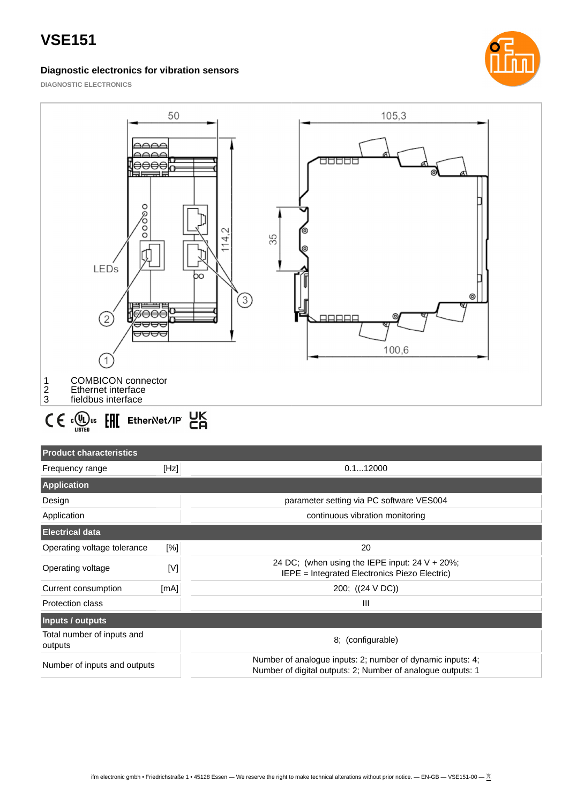#### **Diagnostic electronics for vibration sensors**



**DIAGNOSTIC ELECTRONICS**



### **Product characteristics**

| Frequency range                       | [Hz] | 0.112000                                                                                                                  |  |  |  |
|---------------------------------------|------|---------------------------------------------------------------------------------------------------------------------------|--|--|--|
| <b>Application</b>                    |      |                                                                                                                           |  |  |  |
| Design                                |      | parameter setting via PC software VES004                                                                                  |  |  |  |
| Application                           |      | continuous vibration monitoring                                                                                           |  |  |  |
| <b>Electrical data</b>                |      |                                                                                                                           |  |  |  |
| Operating voltage tolerance           | [%]  | 20                                                                                                                        |  |  |  |
| Operating voltage                     | M    | 24 DC; (when using the IEPE input: $24 V + 20\%$ ;<br>IEPE = Integrated Electronics Piezo Electric)                       |  |  |  |
| Current consumption                   | [mA] | 200; ((24 V DC))                                                                                                          |  |  |  |
| <b>Protection class</b>               |      | $\mathbf{III}$                                                                                                            |  |  |  |
| Inputs / outputs                      |      |                                                                                                                           |  |  |  |
| Total number of inputs and<br>outputs |      | 8; (configurable)                                                                                                         |  |  |  |
| Number of inputs and outputs          |      | Number of analogue inputs: 2; number of dynamic inputs: 4;<br>Number of digital outputs: 2; Number of analogue outputs: 1 |  |  |  |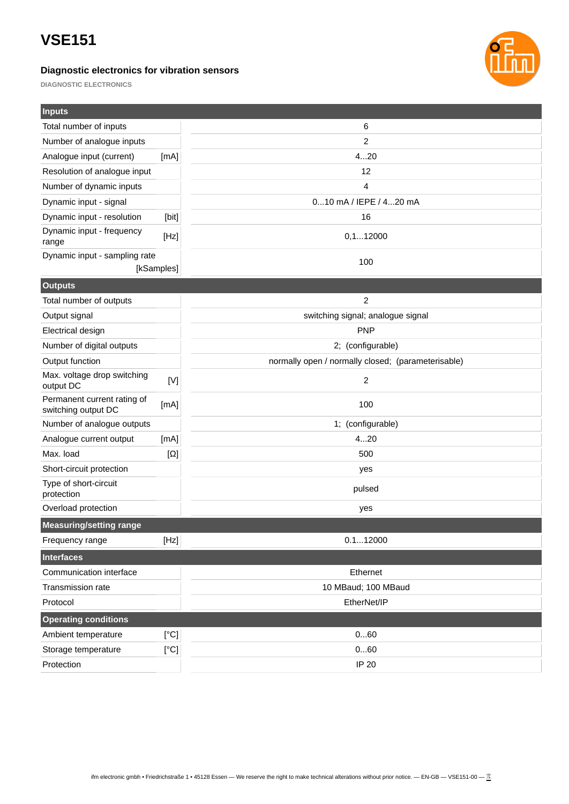### **Diagnostic electronics for vibration sensors**



**DIAGNOSTIC ELECTRONICS**

| <b>Inputs</b>                                      |                                   |                                                    |  |
|----------------------------------------------------|-----------------------------------|----------------------------------------------------|--|
| Total number of inputs                             |                                   | 6                                                  |  |
| Number of analogue inputs                          |                                   | 2                                                  |  |
| Analogue input (current)                           | [mA]                              | 420                                                |  |
| Resolution of analogue input                       |                                   | 12                                                 |  |
| Number of dynamic inputs                           |                                   | $\overline{4}$                                     |  |
| Dynamic input - signal                             |                                   | 010 mA / IEPE / 420 mA                             |  |
| Dynamic input - resolution                         | [bit]                             | 16                                                 |  |
| Dynamic input - frequency<br>range                 | [Hz]                              | 0, 112000                                          |  |
| Dynamic input - sampling rate                      |                                   | 100                                                |  |
|                                                    | [kSamples]                        |                                                    |  |
| <b>Outputs</b>                                     |                                   |                                                    |  |
| Total number of outputs                            |                                   | 2                                                  |  |
| Output signal                                      | switching signal; analogue signal |                                                    |  |
| <b>Electrical design</b>                           |                                   | <b>PNP</b>                                         |  |
| Number of digital outputs<br>2; (configurable)     |                                   |                                                    |  |
| Output function                                    |                                   | normally open / normally closed; (parameterisable) |  |
| Max. voltage drop switching<br>output DC           | [V]                               | $\overline{2}$                                     |  |
| Permanent current rating of<br>switching output DC | [mA]                              | 100                                                |  |
| Number of analogue outputs                         |                                   | 1; (configurable)                                  |  |
| Analogue current output                            | [mA]                              | 420                                                |  |
| Max. load                                          | $[\Omega]$                        | 500                                                |  |
| Short-circuit protection                           |                                   | yes                                                |  |
| Type of short-circuit<br>protection                |                                   | pulsed                                             |  |
| Overload protection                                |                                   | yes                                                |  |
| <b>Measuring/setting range</b>                     |                                   |                                                    |  |
| Frequency range                                    | [Hz]                              | 0.112000                                           |  |
| <b>Interfaces</b>                                  |                                   |                                                    |  |
| Communication interface                            |                                   | Ethernet                                           |  |
| Transmission rate                                  |                                   | 10 MBaud; 100 MBaud                                |  |
| Protocol                                           |                                   | EtherNet/IP                                        |  |
| <b>Operating conditions</b>                        |                                   |                                                    |  |
| Ambient temperature                                | [°C]                              | 060                                                |  |
| Storage temperature                                | $\rm [^\circ C]$                  | 060                                                |  |
| Protection                                         |                                   | IP 20                                              |  |
|                                                    |                                   |                                                    |  |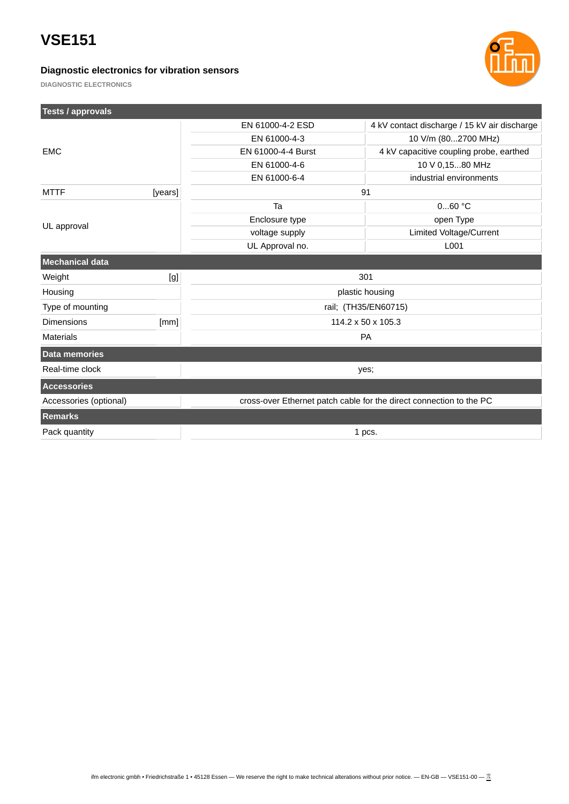### **Diagnostic electronics for vibration sensors**



**DIAGNOSTIC ELECTRONICS**

**Tests / approvals**

| <b>Tests / approvals</b> |         |                                                                     |                                              |  |
|--------------------------|---------|---------------------------------------------------------------------|----------------------------------------------|--|
|                          |         | EN 61000-4-2 ESD                                                    | 4 kV contact discharge / 15 kV air discharge |  |
| <b>EMC</b>               |         | EN 61000-4-3                                                        | 10 V/m (802700 MHz)                          |  |
|                          |         | EN 61000-4-4 Burst                                                  | 4 kV capacitive coupling probe, earthed      |  |
|                          |         | EN 61000-4-6                                                        | 10 V 0,1580 MHz                              |  |
|                          |         | EN 61000-6-4                                                        | industrial environments                      |  |
| <b>MTTF</b>              | [years] | 91                                                                  |                                              |  |
| UL approval              |         | Ta                                                                  | $060$ °C                                     |  |
|                          |         | Enclosure type                                                      | open Type                                    |  |
|                          |         | voltage supply                                                      | Limited Voltage/Current                      |  |
|                          |         | UL Approval no.                                                     | L001                                         |  |
| <b>Mechanical data</b>   |         |                                                                     |                                              |  |
| Weight                   | [g]     | 301                                                                 |                                              |  |
| Housing                  |         | plastic housing                                                     |                                              |  |
| Type of mounting         |         | rail; (TH35/EN60715)                                                |                                              |  |
| <b>Dimensions</b>        | [mm]    | 114.2 x 50 x 105.3                                                  |                                              |  |
| <b>Materials</b>         |         | PA                                                                  |                                              |  |
| Data memories            |         |                                                                     |                                              |  |
| Real-time clock          |         | yes;                                                                |                                              |  |
| <b>Accessories</b>       |         |                                                                     |                                              |  |
| Accessories (optional)   |         | cross-over Ethernet patch cable for the direct connection to the PC |                                              |  |
| <b>Remarks</b>           |         |                                                                     |                                              |  |
| Pack quantity<br>1 pcs.  |         |                                                                     |                                              |  |